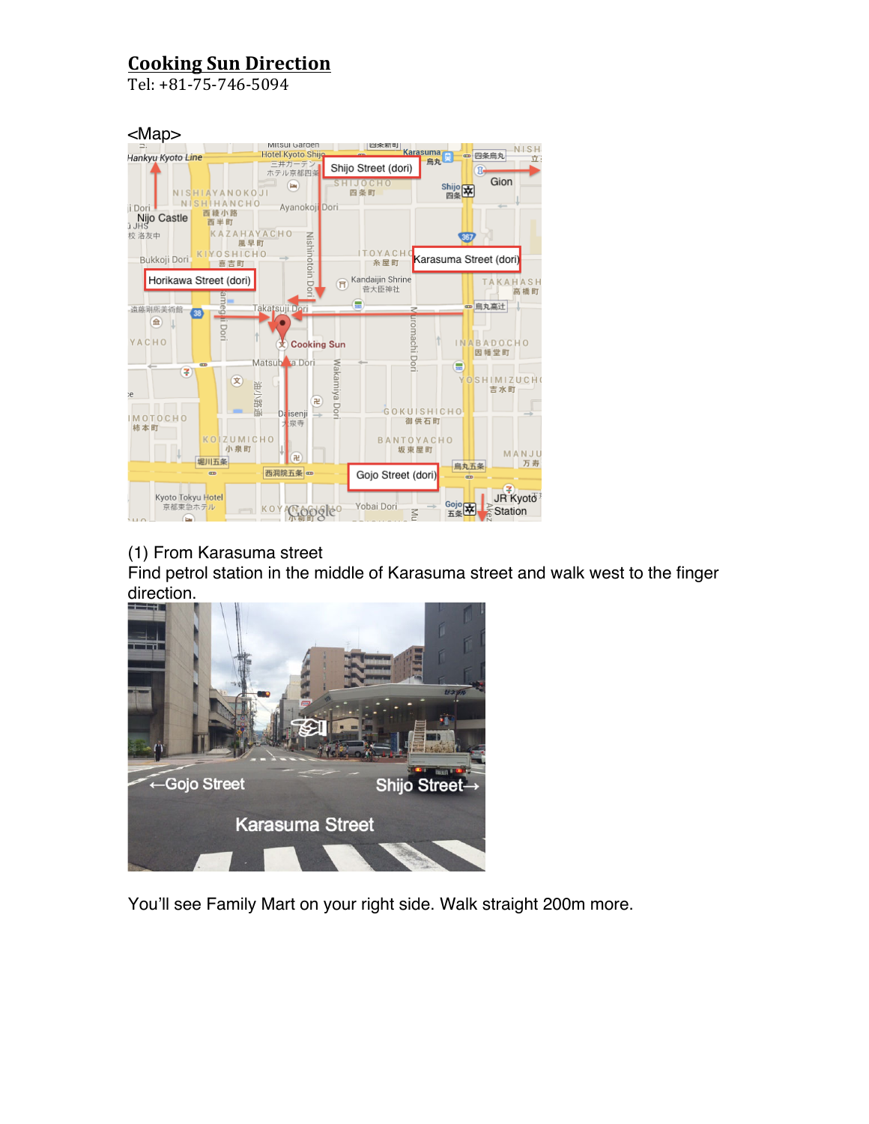Tel: +81-75-746-5094



#### (1) From Karasuma street

Find petrol station in the middle of Karasuma street and walk west to the finger direction.



You'll see Family Mart on your right side. Walk straight 200m more.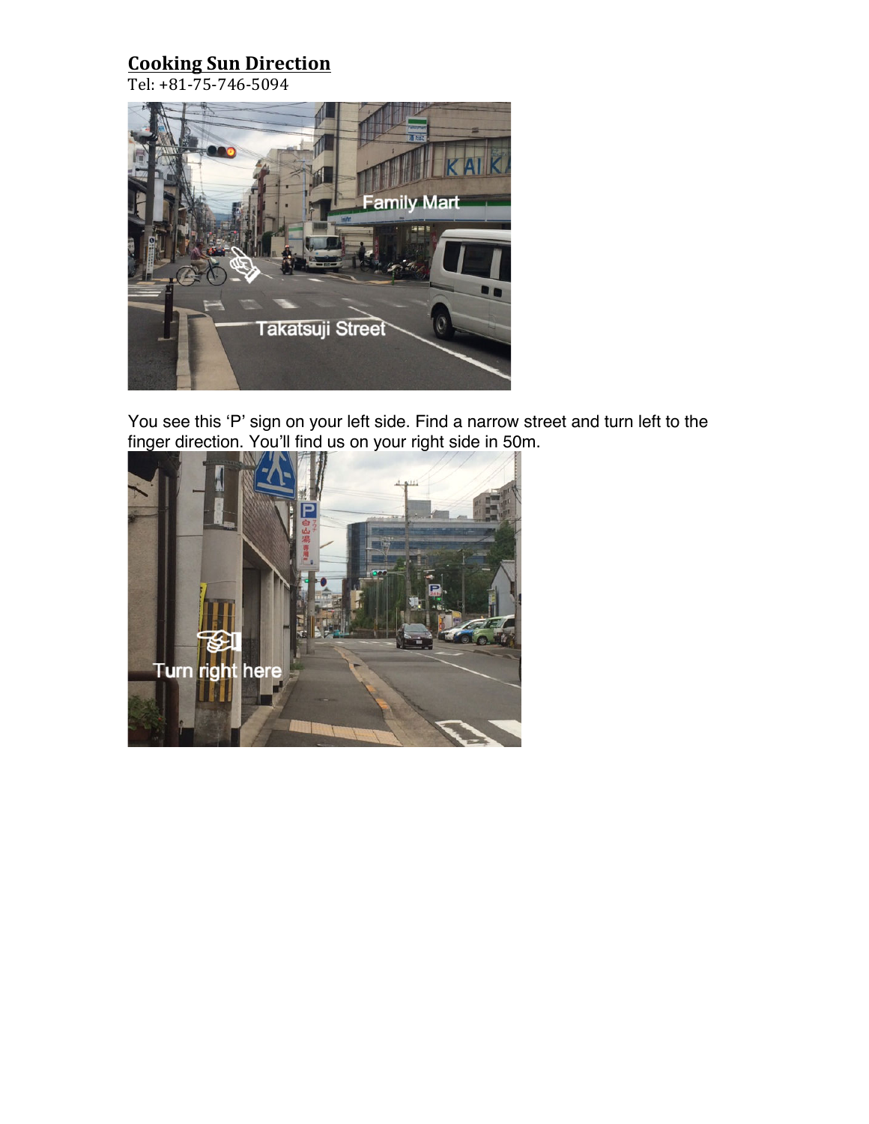Tel: +81-75-746-5094



You see this 'P' sign on your left side. Find a narrow street and turn left to the finger direction. You'll find us on your right side in 50m.

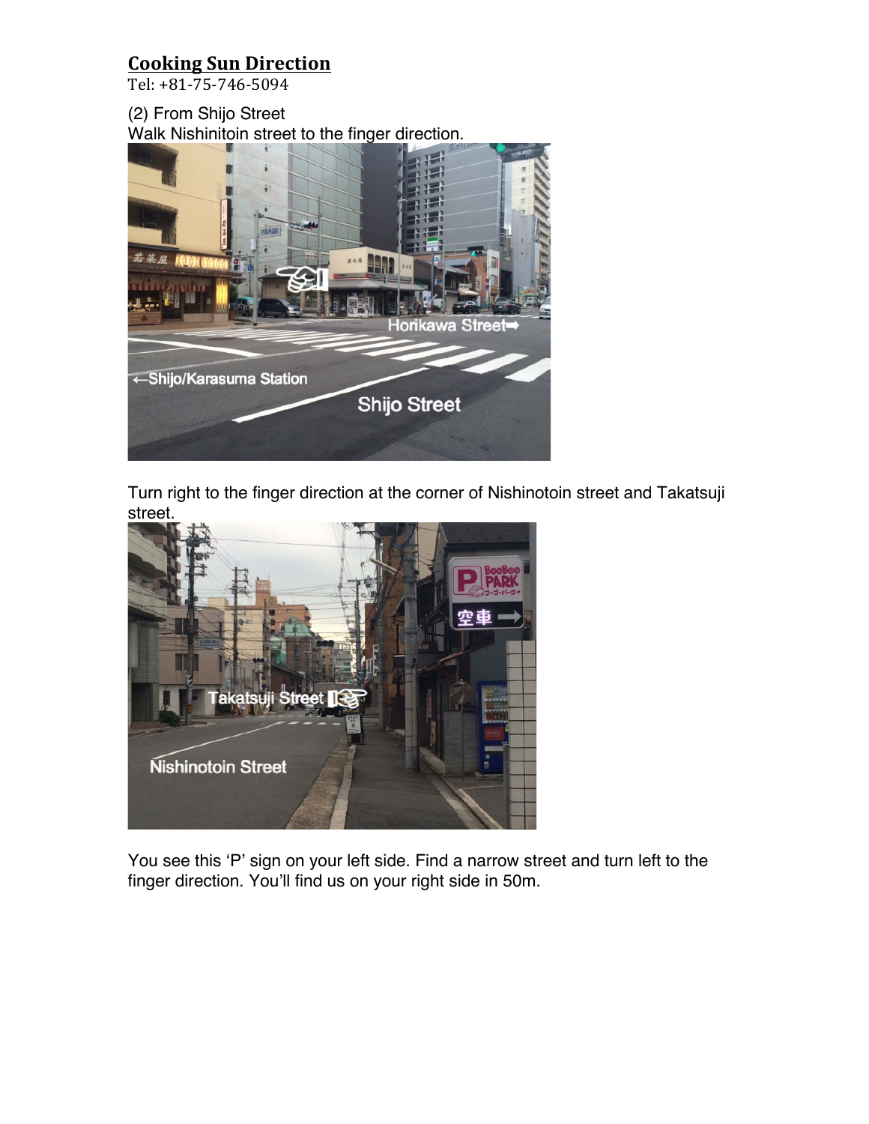Tel: +81-75-746-5094

(2) From Shijo Street Walk Nishinitoin street to the finger direction.



Turn right to the finger direction at the corner of Nishinotoin street and Takatsuji street.



You see this 'P' sign on your left side. Find a narrow street and turn left to the finger direction. You'll find us on your right side in 50m.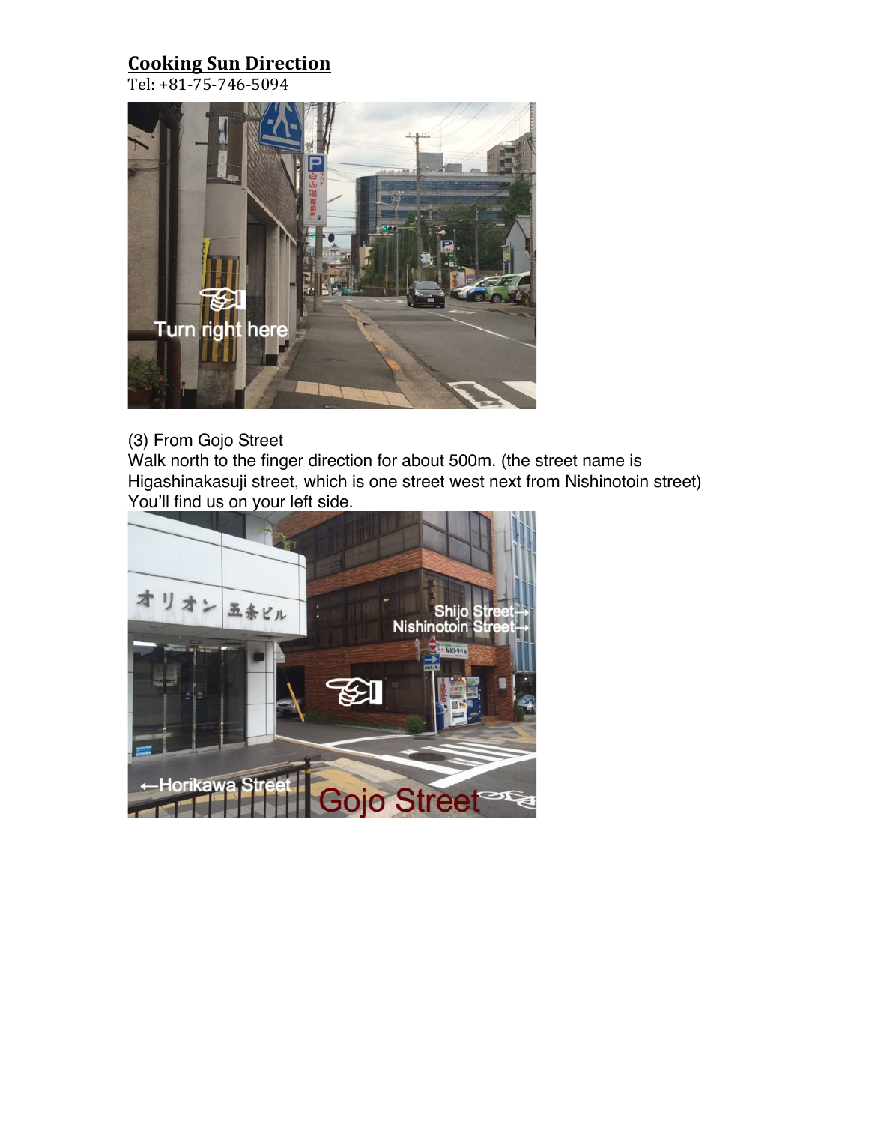Tel: +81-75-746-5094



#### (3) From Gojo Street

Walk north to the finger direction for about 500m. (the street name is Higashinakasuji street, which is one street west next from Nishinotoin street) You'll find us on your left side.